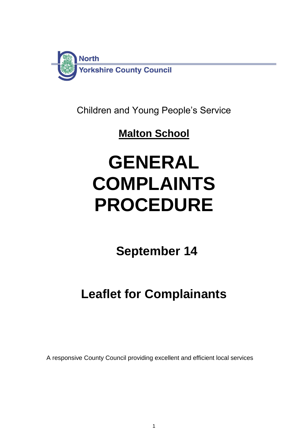

Children and Young People's Service

# **Malton School**

# **GENERAL COMPLAINTS PROCEDURE**

 **September 14**

# **Leaflet for Complainants**

A responsive County Council providing excellent and efficient local services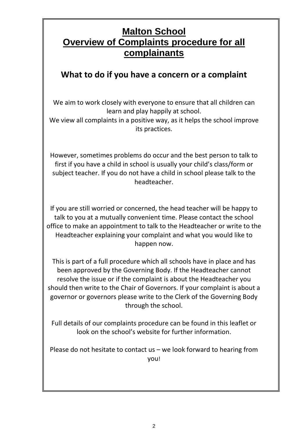## **Malton School Overview of Complaints procedure for all complainants**

## **What to do if you have a concern or a complaint**

We aim to work closely with everyone to ensure that all children can learn and play happily at school.

We view all complaints in a positive way, as it helps the school improve its practices.

However, sometimes problems do occur and the best person to talk to first if you have a child in school is usually your child's class/form or subject teacher. If you do not have a child in school please talk to the headteacher.

If you are still worried or concerned, the head teacher will be happy to talk to you at a mutually convenient time. Please contact the school office to make an appointment to talk to the Headteacher or write to the Headteacher explaining your complaint and what you would like to happen now.

This is part of a full procedure which all schools have in place and has been approved by the Governing Body. If the Headteacher cannot resolve the issue or if the complaint is about the Headteacher you should then write to the Chair of Governors. If your complaint is about a governor or governors please write to the Clerk of the Governing Body through the school.

Full details of our complaints procedure can be found in this leaflet or look on the school's website for further information.

Please do not hesitate to contact us – we look forward to hearing from you!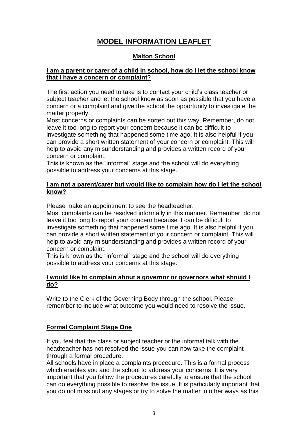### **MODEL INFORMATION LEAFLET**

#### **Malton School**

#### **I am a parent or carer of a child in school, how do I let the school know that I have a concern or complaint**?

The first action you need to take is to contact your child's class teacher or subject teacher and let the school know as soon as possible that you have a concern or a complaint and give the school the opportunity to investigate the matter properly.

Most concerns or complaints can be sorted out this way. Remember, do not leave it too long to report your concern because it can be difficult to investigate something that happened some time ago. It is also helpful if you can provide a short written statement of your concern or complaint. This will help to avoid any misunderstanding and provides a written record of your concern or complaint.

This is known as the "informal" stage and the school will do everything possible to address your concerns at this stage.

#### **I am not a parent/carer but would like to complain how do I let the school know?**

Please make an appointment to see the headteacher.

Most complaints can be resolved informally in this manner. Remember, do not leave it too long to report your concern because it can be difficult to investigate something that happened some time ago. It is also helpful if you can provide a short written statement of your concern or complaint. This will help to avoid any misunderstanding and provides a written record of your concern or complaint.

This is known as the "informal" stage and the school will do everything possible to address your concerns at this stage.

#### **I would like to complain about a governor or governors what should I do?**

Write to the Clerk of the Governing Body through the school. Please remember to include what outcome you would need to resolve the issue.

#### **Formal Complaint Stage One**

If you feel that the class or subject teacher or the informal talk with the headteacher has not resolved the issue you can now take the complaint through a formal procedure.

All schools have in place a complaints procedure. This is a formal process which enables you and the school to address your concerns. It is very important that you follow the procedures carefully to ensure that the school can do everything possible to resolve the issue. It is particularly important that you do not miss out any stages or try to solve the matter in other ways as this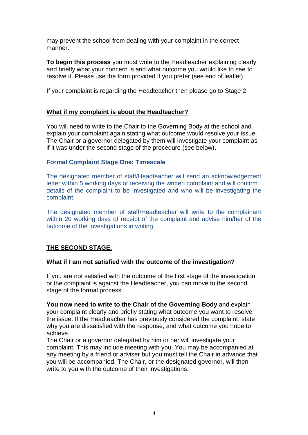may prevent the school from dealing with your complaint in the correct manner.

**To begin this process** you must write to the Headteacher explaining clearly and briefly what your concern is and what outcome you would like to see to resolve it. Please use the form provided if you prefer (see end of leaflet).

If your complaint is regarding the Headteacher then please go to Stage 2.

#### **What if my complaint is about the Headteacher?**

You will need to write to the Chair to the Governing Body at the school and explain your complaint again stating what outcome would resolve your issue. The Chair or a governor delegated by them will investigate your complaint as if it was under the second stage of the procedure (see below).

#### **Formal Complaint Stage One: Timescale**

The designated member of staff/Headteacher will send an acknowledgement letter within 5 working days of receiving the written complaint and will confirm details of the complaint to be investigated and who will be investigating the complaint.

The designated member of staff/Headteacher will write to the complainant within 20 working days of receipt of the complaint and advise him/her of the outcome of the investigations in writing.

#### **THE SECOND STAGE.**

#### **What if I am not satisfied with the outcome of the investigation?**

If you are not satisfied with the outcome of the first stage of the investigation or the complaint is against the Headteacher, you can move to the second stage of the formal process.

**You now need to write to the Chair of the Governing Body** and explain your complaint clearly and briefly stating what outcome you want to resolve the issue. If the Headteacher has previously considered the complaint, state why you are dissatisfied with the response, and what outcome you hope to achieve.

The Chair or a governor delegated by him or her will investigate your complaint. This may include meeting with you. You may be accompanied at any meeting by a friend or adviser but you must tell the Chair in advance that you will be accompanied. The Chair, or the designated governor, will then write to you with the outcome of their investigations.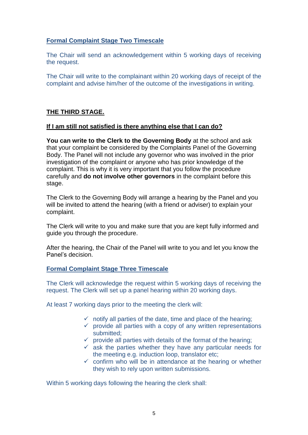#### **Formal Complaint Stage Two Timescale**

The Chair will send an acknowledgement within 5 working days of receiving the request.

The Chair will write to the complainant within 20 working days of receipt of the complaint and advise him/her of the outcome of the investigations in writing.

#### **THE THIRD STAGE.**

#### **If I am still not satisfied is there anything else that I can do?**

**You can write to the Clerk to the Governing Body** at the school and ask that your complaint be considered by the Complaints Panel of the Governing Body. The Panel will not include any governor who was involved in the prior investigation of the complaint or anyone who has prior knowledge of the complaint. This is why it is very important that you follow the procedure carefully and **do not involve other governors** in the complaint before this stage.

The Clerk to the Governing Body will arrange a hearing by the Panel and you will be invited to attend the hearing (with a friend or adviser) to explain your complaint.

The Clerk will write to you and make sure that you are kept fully informed and guide you through the procedure.

After the hearing, the Chair of the Panel will write to you and let you know the Panel's decision.

#### **Formal Complaint Stage Three Timescale**

The Clerk will acknowledge the request within 5 working days of receiving the request. The Clerk will set up a panel hearing within 20 working days.

At least 7 working days prior to the meeting the clerk will:

- $\checkmark$  notify all parties of the date, time and place of the hearing;
- $\checkmark$  provide all parties with a copy of any written representations submitted:
- $\checkmark$  provide all parties with details of the format of the hearing;
- $\checkmark$  ask the parties whether they have any particular needs for the meeting e.g. induction loop, translator etc;
- $\checkmark$  confirm who will be in attendance at the hearing or whether they wish to rely upon written submissions.

Within 5 working days following the hearing the clerk shall: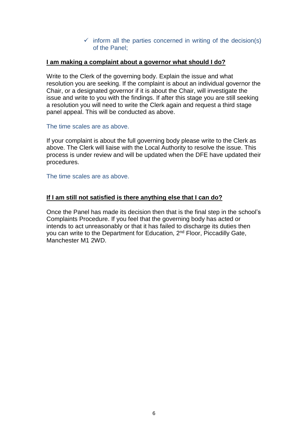#### $\checkmark$  inform all the parties concerned in writing of the decision(s) of the Panel;

#### **I am making a complaint about a governor what should I do?**

Write to the Clerk of the governing body. Explain the issue and what resolution you are seeking. If the complaint is about an individual governor the Chair, or a designated governor if it is about the Chair, will investigate the issue and write to you with the findings. If after this stage you are still seeking a resolution you will need to write the Clerk again and request a third stage panel appeal. This will be conducted as above.

The time scales are as above.

If your complaint is about the full governing body please write to the Clerk as above. The Clerk will liaise with the Local Authority to resolve the issue. This process is under review and will be updated when the DFE have updated their procedures.

The time scales are as above.

#### **If I am still not satisfied is there anything else that I can do?**

Once the Panel has made its decision then that is the final step in the school's Complaints Procedure. If you feel that the governing body has acted or intends to act unreasonably or that it has failed to discharge its duties then you can write to the Department for Education, 2<sup>nd</sup> Floor, Piccadilly Gate, Manchester M1 2WD.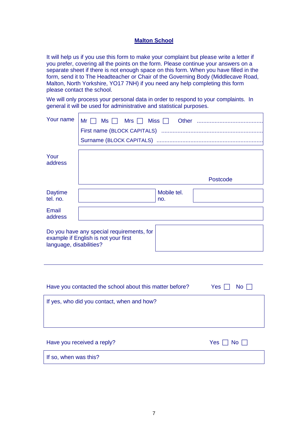#### **Malton School**

It will help us if you use this form to make your complaint but please write a letter if you prefer, covering all the points on the form. Please continue your answers on a separate sheet if there is not enough space on this form. When you have filled in the form, send it to The Headteacher or Chair of the Governing Body (Middlecave Road, Malton, North Yorkshire, YO17 7NH) if you need any help completing this form please contact the school.

We will only process your personal data in order to respond to your complaints. In general it will be used for administrative and statistical purposes.

| Your name                                                                                                    | Mr<br>Mrs $\Box$<br>Miss $\Box$<br>Ms |  |  |  |
|--------------------------------------------------------------------------------------------------------------|---------------------------------------|--|--|--|
| Your<br>address                                                                                              |                                       |  |  |  |
|                                                                                                              | Postcode                              |  |  |  |
| <b>Daytime</b><br>tel. no.                                                                                   | Mobile tel.<br>no.                    |  |  |  |
| <b>Email</b><br>address                                                                                      |                                       |  |  |  |
| Do you have any special requirements, for<br>example if English is not your first<br>language, disabilities? |                                       |  |  |  |
|                                                                                                              |                                       |  |  |  |
|                                                                                                              |                                       |  |  |  |
| Have you contacted the school about this matter before?<br>Yes<br><b>No</b>                                  |                                       |  |  |  |
| If yes, who did you contact, when and how?                                                                   |                                       |  |  |  |
|                                                                                                              |                                       |  |  |  |
|                                                                                                              |                                       |  |  |  |

| Have you received a reply? | Yes $\Box$ No $\Box$ |
|----------------------------|----------------------|
| If so, when was this?      |                      |